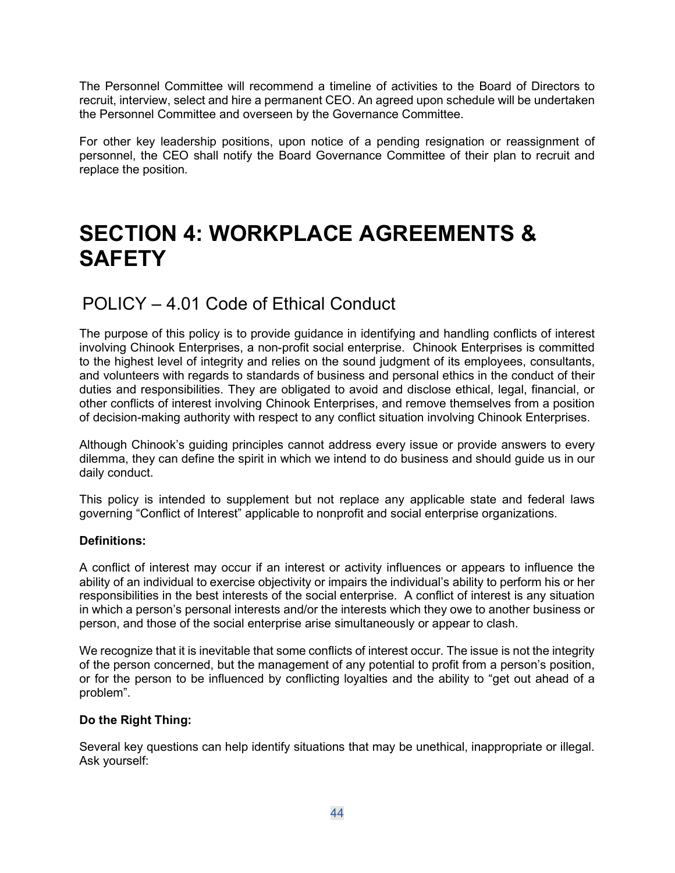The Personnel Committee will recommend a timeline of activities to the Board of Directors to recruit, interview, select and hire a permanent CEO. An agreed upon schedule will be undertaken the Personnel Committee and overseen by the Governance Committee.

For other key leadership positions, upon notice of a pending resignation or reassignment of personnel, the CEO shall notify the Board Governance Committee of their plan to recruit and replace the position.

# SECTION 4: WORKPLACE AGREEMENTS & **SAFETY**

# POLICY – 4.01 Code of Ethical Conduct

The purpose of this policy is to provide guidance in identifying and handling conflicts of interest involving Chinook Enterprises, a non-profit social enterprise. Chinook Enterprises is committed to the highest level of integrity and relies on the sound judgment of its employees, consultants, and volunteers with regards to standards of business and personal ethics in the conduct of their duties and responsibilities. They are obligated to avoid and disclose ethical, legal, financial, or other conflicts of interest involving Chinook Enterprises, and remove themselves from a position of decision-making authority with respect to any conflict situation involving Chinook Enterprises.

Although Chinook's guiding principles cannot address every issue or provide answers to every dilemma, they can define the spirit in which we intend to do business and should guide us in our daily conduct.

This policy is intended to supplement but not replace any applicable state and federal laws governing "Conflict of Interest" applicable to nonprofit and social enterprise organizations.

# Definitions:

A conflict of interest may occur if an interest or activity influences or appears to influence the ability of an individual to exercise objectivity or impairs the individual's ability to perform his or her responsibilities in the best interests of the social enterprise. A conflict of interest is any situation in which a person's personal interests and/or the interests which they owe to another business or person, and those of the social enterprise arise simultaneously or appear to clash.

We recognize that it is inevitable that some conflicts of interest occur. The issue is not the integrity of the person concerned, but the management of any potential to profit from a person's position, or for the person to be influenced by conflicting loyalties and the ability to "get out ahead of a problem".

# Do the Right Thing:

Several key questions can help identify situations that may be unethical, inappropriate or illegal. Ask yourself: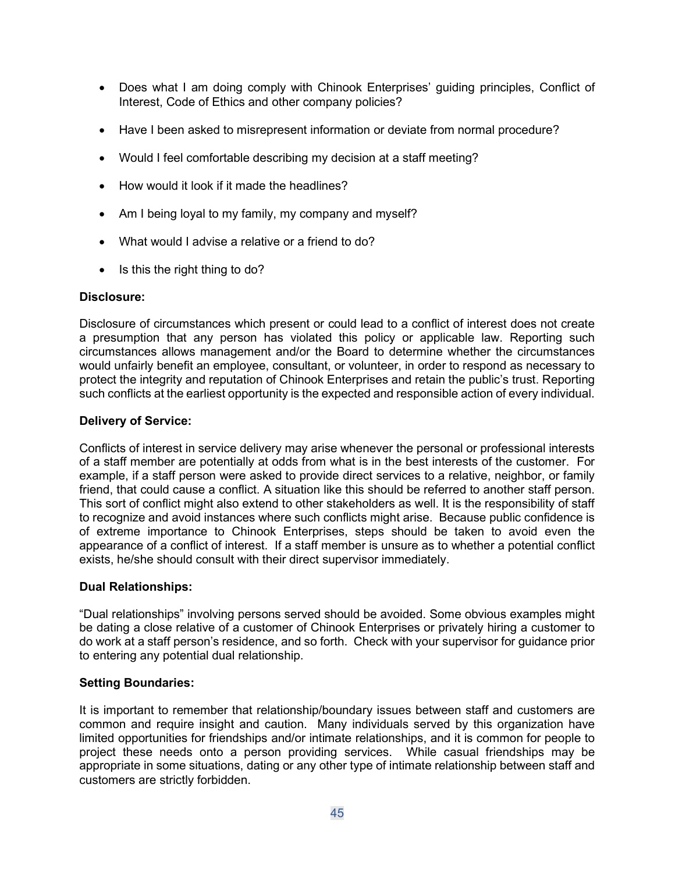- Does what I am doing comply with Chinook Enterprises' guiding principles, Conflict of Interest, Code of Ethics and other company policies?
- Have I been asked to misrepresent information or deviate from normal procedure?
- Would I feel comfortable describing my decision at a staff meeting?
- How would it look if it made the headlines?
- Am I being loyal to my family, my company and myself?
- What would I advise a relative or a friend to do?
- $\bullet$  Is this the right thing to do?

# Disclosure:

Disclosure of circumstances which present or could lead to a conflict of interest does not create a presumption that any person has violated this policy or applicable law. Reporting such circumstances allows management and/or the Board to determine whether the circumstances would unfairly benefit an employee, consultant, or volunteer, in order to respond as necessary to protect the integrity and reputation of Chinook Enterprises and retain the public's trust. Reporting such conflicts at the earliest opportunity is the expected and responsible action of every individual.

# Delivery of Service:

Conflicts of interest in service delivery may arise whenever the personal or professional interests of a staff member are potentially at odds from what is in the best interests of the customer. For example, if a staff person were asked to provide direct services to a relative, neighbor, or family friend, that could cause a conflict. A situation like this should be referred to another staff person. This sort of conflict might also extend to other stakeholders as well. It is the responsibility of staff to recognize and avoid instances where such conflicts might arise. Because public confidence is of extreme importance to Chinook Enterprises, steps should be taken to avoid even the appearance of a conflict of interest. If a staff member is unsure as to whether a potential conflict exists, he/she should consult with their direct supervisor immediately.

# Dual Relationships:

"Dual relationships" involving persons served should be avoided. Some obvious examples might be dating a close relative of a customer of Chinook Enterprises or privately hiring a customer to do work at a staff person's residence, and so forth. Check with your supervisor for guidance prior to entering any potential dual relationship.

# Setting Boundaries:

It is important to remember that relationship/boundary issues between staff and customers are common and require insight and caution. Many individuals served by this organization have limited opportunities for friendships and/or intimate relationships, and it is common for people to project these needs onto a person providing services. While casual friendships may be appropriate in some situations, dating or any other type of intimate relationship between staff and customers are strictly forbidden.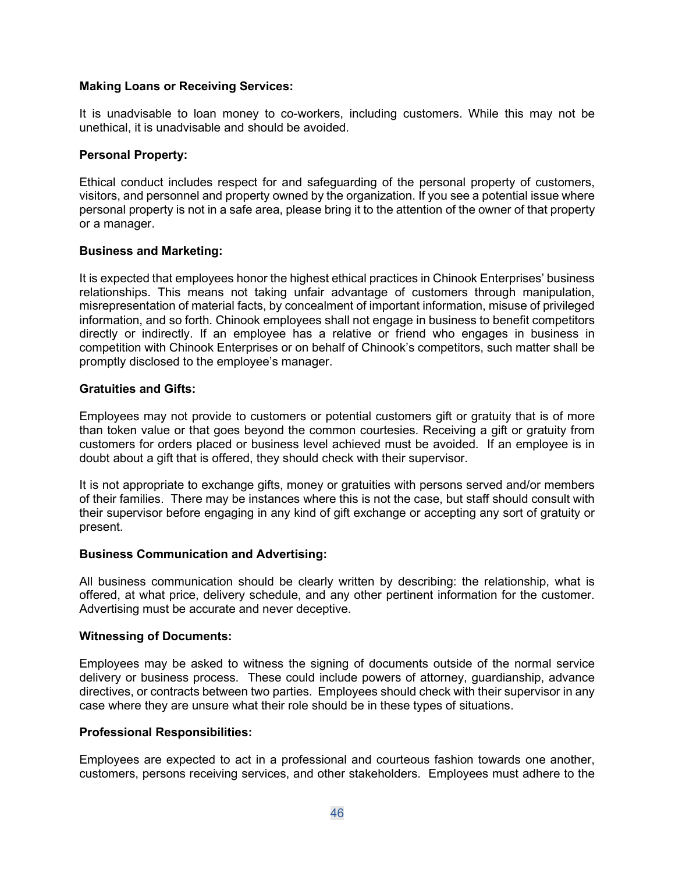#### Making Loans or Receiving Services:

It is unadvisable to loan money to co-workers, including customers. While this may not be unethical, it is unadvisable and should be avoided.

#### Personal Property:

Ethical conduct includes respect for and safeguarding of the personal property of customers, visitors, and personnel and property owned by the organization. If you see a potential issue where personal property is not in a safe area, please bring it to the attention of the owner of that property or a manager.

#### Business and Marketing:

It is expected that employees honor the highest ethical practices in Chinook Enterprises' business relationships. This means not taking unfair advantage of customers through manipulation, misrepresentation of material facts, by concealment of important information, misuse of privileged information, and so forth. Chinook employees shall not engage in business to benefit competitors directly or indirectly. If an employee has a relative or friend who engages in business in competition with Chinook Enterprises or on behalf of Chinook's competitors, such matter shall be promptly disclosed to the employee's manager.

#### Gratuities and Gifts:

Employees may not provide to customers or potential customers gift or gratuity that is of more than token value or that goes beyond the common courtesies. Receiving a gift or gratuity from customers for orders placed or business level achieved must be avoided. If an employee is in doubt about a gift that is offered, they should check with their supervisor.

It is not appropriate to exchange gifts, money or gratuities with persons served and/or members of their families. There may be instances where this is not the case, but staff should consult with their supervisor before engaging in any kind of gift exchange or accepting any sort of gratuity or present.

#### Business Communication and Advertising:

All business communication should be clearly written by describing: the relationship, what is offered, at what price, delivery schedule, and any other pertinent information for the customer. Advertising must be accurate and never deceptive.

#### Witnessing of Documents:

Employees may be asked to witness the signing of documents outside of the normal service delivery or business process. These could include powers of attorney, guardianship, advance directives, or contracts between two parties. Employees should check with their supervisor in any case where they are unsure what their role should be in these types of situations.

#### Professional Responsibilities:

Employees are expected to act in a professional and courteous fashion towards one another, customers, persons receiving services, and other stakeholders. Employees must adhere to the